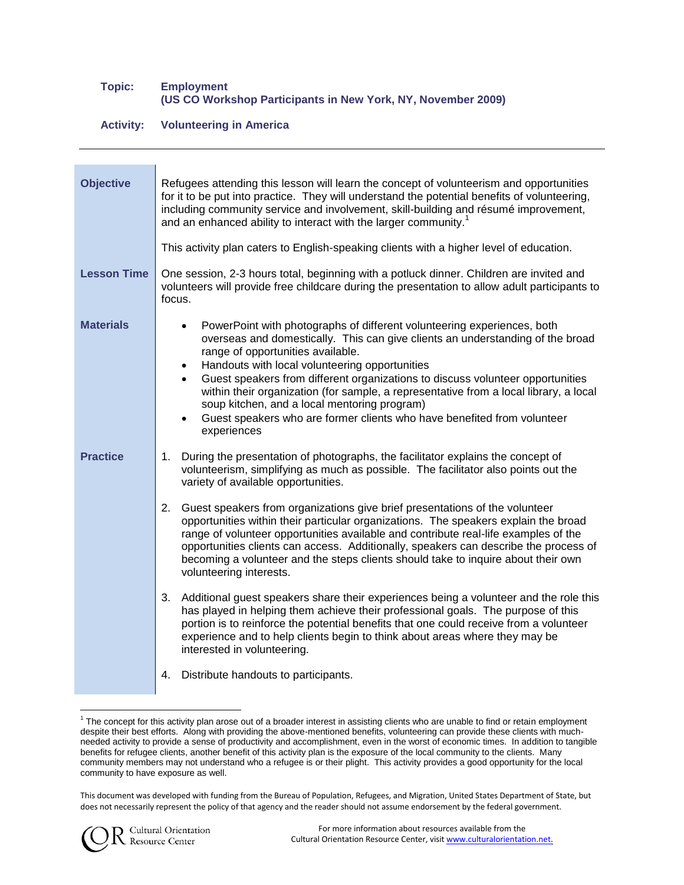## **Topic: Employment (US CO Workshop Participants in New York, NY, November 2009)**

## **Activity: Volunteering in America**

| <b>Objective</b>   | Refugees attending this lesson will learn the concept of volunteerism and opportunities<br>for it to be put into practice. They will understand the potential benefits of volunteering,<br>including community service and involvement, skill-building and résumé improvement,<br>and an enhanced ability to interact with the larger community. <sup>1</sup>                                                                                                                                                                                                                                                             |
|--------------------|---------------------------------------------------------------------------------------------------------------------------------------------------------------------------------------------------------------------------------------------------------------------------------------------------------------------------------------------------------------------------------------------------------------------------------------------------------------------------------------------------------------------------------------------------------------------------------------------------------------------------|
|                    | This activity plan caters to English-speaking clients with a higher level of education.                                                                                                                                                                                                                                                                                                                                                                                                                                                                                                                                   |
| <b>Lesson Time</b> | One session, 2-3 hours total, beginning with a potluck dinner. Children are invited and<br>volunteers will provide free childcare during the presentation to allow adult participants to<br>focus.                                                                                                                                                                                                                                                                                                                                                                                                                        |
| <b>Materials</b>   | PowerPoint with photographs of different volunteering experiences, both<br>$\bullet$<br>overseas and domestically. This can give clients an understanding of the broad<br>range of opportunities available.<br>Handouts with local volunteering opportunities<br>$\bullet$<br>Guest speakers from different organizations to discuss volunteer opportunities<br>$\bullet$<br>within their organization (for sample, a representative from a local library, a local<br>soup kitchen, and a local mentoring program)<br>Guest speakers who are former clients who have benefited from volunteer<br>$\bullet$<br>experiences |
| <b>Practice</b>    | 1. During the presentation of photographs, the facilitator explains the concept of<br>volunteerism, simplifying as much as possible. The facilitator also points out the<br>variety of available opportunities.                                                                                                                                                                                                                                                                                                                                                                                                           |
|                    | 2.<br>Guest speakers from organizations give brief presentations of the volunteer<br>opportunities within their particular organizations. The speakers explain the broad<br>range of volunteer opportunities available and contribute real-life examples of the<br>opportunities clients can access. Additionally, speakers can describe the process of<br>becoming a volunteer and the steps clients should take to inquire about their own<br>volunteering interests.                                                                                                                                                   |
|                    | 3.<br>Additional guest speakers share their experiences being a volunteer and the role this<br>has played in helping them achieve their professional goals. The purpose of this<br>portion is to reinforce the potential benefits that one could receive from a volunteer<br>experience and to help clients begin to think about areas where they may be<br>interested in volunteering.                                                                                                                                                                                                                                   |
|                    | Distribute handouts to participants.<br>4.                                                                                                                                                                                                                                                                                                                                                                                                                                                                                                                                                                                |

This document was developed with funding from the Bureau of Population, Refugees, and Migration, United States Department of State, but does not necessarily represent the policy of that agency and the reader should not assume endorsement by the federal government.



 $\overline{a}$ 

<sup>&</sup>lt;sup>1</sup> The concept for this activity plan arose out of a broader interest in assisting clients who are unable to find or retain employment despite their best efforts. Along with providing the above-mentioned benefits, volunteering can provide these clients with muchneeded activity to provide a sense of productivity and accomplishment, even in the worst of economic times. In addition to tangible benefits for refugee clients, another benefit of this activity plan is the exposure of the local community to the clients. Many community members may not understand who a refugee is or their plight. This activity provides a good opportunity for the local community to have exposure as well.